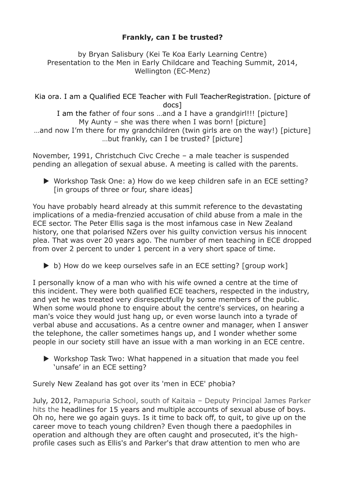## **Frankly, can I be trusted?**

by Bryan Salisbury (Kei Te Koa Early Learning Centre) Presentation to the Men in Early Childcare and Teaching Summit, 2014, Wellington (EC-Menz)

Kia ora. I am a Qualified ECE Teacher with Full TeacherRegistration. [picture of docs]

I am the father of four sons …and a I have a grandgirl!!! [picture] My Aunty – she was there when I was born! [picture] …and now I'm there for my grandchildren (twin girls are on the way!) [picture] …but frankly, can I be trusted? [picture]

November, 1991, Christchuch Civc Creche – a male teacher is suspended pending an allegation of sexual abuse. A meeting is called with the parents.

 Workshop Task One: a) How do we keep children safe in an ECE setting? [in groups of three or four, share ideas]

You have probably heard already at this summit reference to the devastating implications of a media-frenzied accusation of child abuse from a male in the ECE sector. The Peter Ellis saga is the most infamous case in New Zealand history, one that polarised NZers over his guilty conviction versus his innocent plea. That was over 20 years ago. The number of men teaching in ECE dropped from over 2 percent to under 1 percent in a very short space of time.

 $\triangleright$  b) How do we keep ourselves safe in an ECE setting? [group work]

I personally know of a man who with his wife owned a centre at the time of this incident. They were both qualified ECE teachers, respected in the industry, and yet he was treated very disrespectfully by some members of the public. When some would phone to enquire about the centre's services, on hearing a man's voice they would just hang up, or even worse launch into a tyrade of verbal abuse and accusations. As a centre owner and manager, when I answer the telephone, the caller sometimes hangs up, and I wonder whether some people in our society still have an issue with a man working in an ECE centre.

 Workshop Task Two: What happened in a situation that made you feel 'unsafe' in an ECE setting?

Surely New Zealand has got over its 'men in ECE' phobia?

July, 2012, Pamapuria School, south of Kaitaia – Deputy Principal James Parker hits the headlines for 15 years and multiple accounts of sexual abuse of boys. Oh no, here we go again guys. Is it time to back off, to quit, to give up on the career move to teach young children? Even though there a paedophiles in operation and although they are often caught and prosecuted, it's the highprofile cases such as Ellis's and Parker's that draw attention to men who are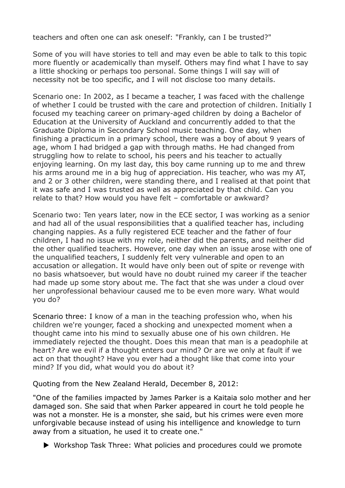teachers and often one can ask oneself: "Frankly, can I be trusted?"

Some of you will have stories to tell and may even be able to talk to this topic more fluently or academically than myself. Others may find what I have to say a little shocking or perhaps too personal. Some things I will say will of necessity not be too specific, and I will not disclose too many details.

Scenario one: In 2002, as I became a teacher, I was faced with the challenge of whether I could be trusted with the care and protection of children. Initially I focused my teaching career on primary-aged children by doing a Bachelor of Education at the University of Auckland and concurrently added to that the Graduate Diploma in Secondary School music teaching. One day, when finishing a practicum in a primary school, there was a boy of about 9 years of age, whom I had bridged a gap with through maths. He had changed from struggling how to relate to school, his peers and his teacher to actually enjoying learning. On my last day, this boy came running up to me and threw his arms around me in a big hug of appreciation. His teacher, who was my AT, and 2 or 3 other children, were standing there, and I realised at that point that it was safe and I was trusted as well as appreciated by that child. Can you relate to that? How would you have felt – comfortable or awkward?

Scenario two: Ten years later, now in the ECE sector, I was working as a senior and had all of the usual responsibilities that a qualified teacher has, including changing nappies. As a fully registered ECE teacher and the father of four children, I had no issue with my role, neither did the parents, and neither did the other qualified teachers. However, one day when an issue arose with one of the unqualified teachers, I suddenly felt very vulnerable and open to an accusation or allegation. It would have only been out of spite or revenge with no basis whatsoever, but would have no doubt ruined my career if the teacher had made up some story about me. The fact that she was under a cloud over her unprofessional behaviour caused me to be even more wary. What would you do?

Scenario three: I know of a man in the teaching profession who, when his children we're younger, faced a shocking and unexpected moment when a thought came into his mind to sexually abuse one of his own children. He immediately rejected the thought. Does this mean that man is a peadophile at heart? Are we evil if a thought enters our mind? Or are we only at fault if we act on that thought? Have you ever had a thought like that come into your mind? If you did, what would you do about it?

Quoting from the New Zealand Herald, December 8, 2012:

"One of the families impacted by James Parker is a Kaitaia solo mother and her damaged son. She said that when Parker appeared in court he told people he was not a monster. He is a monster, she said, but his crimes were even more unforgivable because instead of using his intelligence and knowledge to turn away from a situation, he used it to create one."

▶ Workshop Task Three: What policies and procedures could we promote